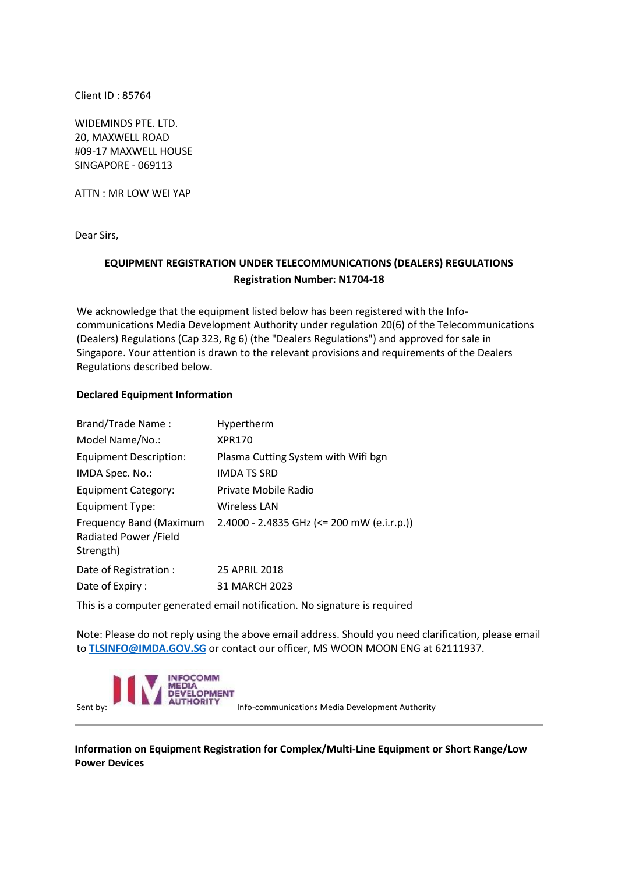Client ID : 85764

WIDEMINDS PTE. LTD. 20, MAXWELL ROAD #09-17 MAXWELL HOUSE SINGAPORE - 069113

ATTN : MR LOW WEI YAP

Dear Sirs,

## **EQUIPMENT REGISTRATION UNDER TELECOMMUNICATIONS (DEALERS) REGULATIONS Registration Number: N1704-18**

We acknowledge that the equipment listed below has been registered with the Infocommunications Media Development Authority under regulation 20(6) of the Telecommunications (Dealers) Regulations (Cap 323, Rg 6) (the "Dealers Regulations") and approved for sale in Singapore. Your attention is drawn to the relevant provisions and requirements of the Dealers Regulations described below.

## **Declared Equipment Information**

| <b>Brand/Trade Name:</b>                                       | Hypertherm                                 |
|----------------------------------------------------------------|--------------------------------------------|
| Model Name/No.:                                                | <b>XPR170</b>                              |
| <b>Equipment Description:</b>                                  | Plasma Cutting System with Wifi bgn        |
| IMDA Spec. No.:                                                | <b>IMDA TS SRD</b>                         |
| Equipment Category:                                            | Private Mobile Radio                       |
| Equipment Type:                                                | Wireless LAN                               |
| Frequency Band (Maximum<br>Radiated Power / Field<br>Strength) | 2.4000 - 2.4835 GHz (<= 200 mW (e.i.r.p.)) |
| Date of Registration :                                         | 25 APRIL 2018                              |
| Date of Expiry:                                                | 31 MARCH 2023                              |

This is a computer generated email notification. No signature is required

Note: Please do not reply using the above email address. Should you need clarification, please email to **[TLSINFO@IMDA.GOV.SG](mailto:TLSINFO@IMDA.GOV.SG)** or contact our officer, MS WOON MOON ENG at 62111937.



**Information on Equipment Registration for Complex/Multi-Line Equipment or Short Range/Low Power Devices**